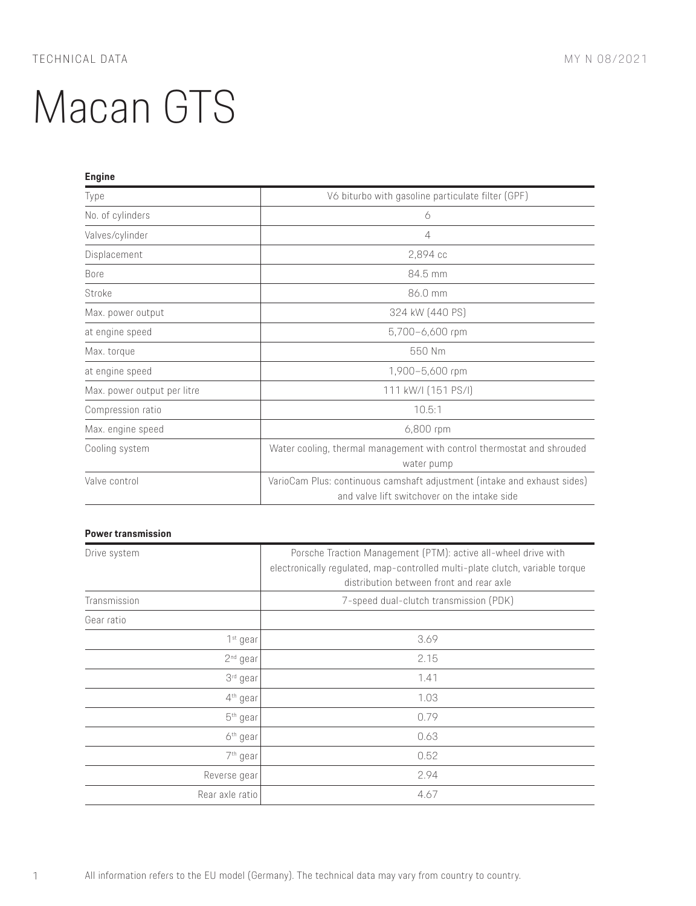| <b>Engine</b>               |                                                                          |
|-----------------------------|--------------------------------------------------------------------------|
| Type                        | V6 biturbo with gasoline particulate filter (GPF)                        |
| No. of cylinders            | 6                                                                        |
| Valves/cylinder             | 4                                                                        |
| Displacement                | 2,894 сс                                                                 |
| Bore                        | 84.5 mm                                                                  |
| Stroke                      | 86.0 mm                                                                  |
| Max. power output           | 324 kW (440 PS)                                                          |
| at engine speed             | 5,700-6,600 rpm                                                          |
| Max. torque                 | 550 Nm                                                                   |
| at engine speed             | 1,900-5,600 rpm                                                          |
| Max. power output per litre | 111 kW/I (151 PS/I)                                                      |
| Compression ratio           | 10.5:1                                                                   |
| Max. engine speed           | 6,800 rpm                                                                |
| Cooling system              | Water cooling, thermal management with control thermostat and shrouded   |
|                             | water pump                                                               |
| Valve control               | VarioCam Plus: continuous camshaft adjustment (intake and exhaust sides) |
|                             | and valve lift switchover on the intake side                             |

### **Power transmission**

| Drive system         | Porsche Traction Management (PTM): active all-wheel drive with<br>electronically regulated, map-controlled multi-plate clutch, variable torque<br>distribution between front and rear axle |
|----------------------|--------------------------------------------------------------------------------------------------------------------------------------------------------------------------------------------|
| Transmission         | 7-speed dual-clutch transmission (PDK)                                                                                                                                                     |
| Gear ratio           |                                                                                                                                                                                            |
| 1 <sup>st</sup> gear | 3.69                                                                                                                                                                                       |
| 2 <sup>nd</sup> gear | 2.15                                                                                                                                                                                       |
| 3 <sup>rd</sup> gear | 1.41                                                                                                                                                                                       |
| $4th$ gear           | 1.03                                                                                                                                                                                       |
| 5 <sup>th</sup> gear | 0.79                                                                                                                                                                                       |
| 6 <sup>th</sup> gear | 0.63                                                                                                                                                                                       |
| 7 <sup>th</sup> gear | 0.52                                                                                                                                                                                       |
| Reverse gear         | 2.94                                                                                                                                                                                       |
| Rear axle ratio      | 4.67                                                                                                                                                                                       |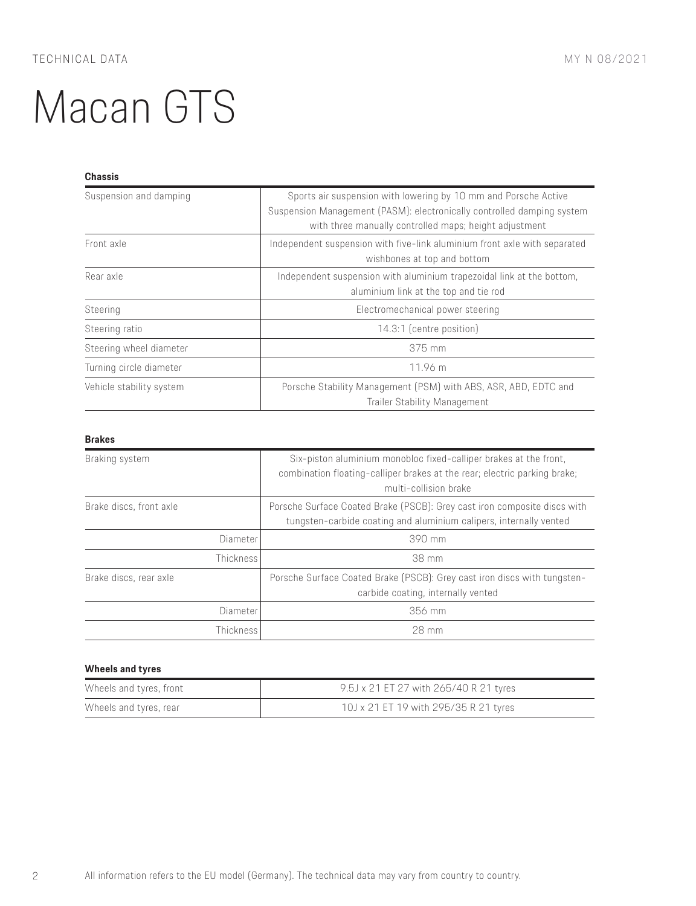### **Chassis**

| Suspension and damping   | Sports air suspension with lowering by 10 mm and Porsche Active<br>Suspension Management (PASM): electronically controlled damping system<br>with three manually controlled maps; height adjustment |
|--------------------------|-----------------------------------------------------------------------------------------------------------------------------------------------------------------------------------------------------|
| Front axle               | Independent suspension with five-link aluminium front axle with separated<br>wishbones at top and bottom                                                                                            |
| Rear axle                | Independent suspension with aluminium trapezoidal link at the bottom,<br>aluminium link at the top and tie rod                                                                                      |
| Steering                 | Electromechanical power steering                                                                                                                                                                    |
| Steering ratio           | 14.3:1 (centre position)                                                                                                                                                                            |
| Steering wheel diameter  | 375 mm                                                                                                                                                                                              |
| Turning circle diameter  | 11.96 m                                                                                                                                                                                             |
| Vehicle stability system | Porsche Stability Management (PSM) with ABS, ASR, ABD, EDTC and<br><b>Trailer Stability Management</b>                                                                                              |

### **Brakes**

| Braking system          | Six-piston aluminium monobloc fixed-calliper brakes at the front,<br>combination floating-calliper brakes at the rear; electric parking brake;<br>multi-collision brake |
|-------------------------|-------------------------------------------------------------------------------------------------------------------------------------------------------------------------|
| Brake discs, front axle | Porsche Surface Coated Brake (PSCB): Grey cast iron composite discs with<br>tungsten-carbide coating and aluminium calipers, internally vented                          |
| Diameter                | 390 mm                                                                                                                                                                  |
| <b>Thickness</b>        | 38 mm                                                                                                                                                                   |
| Brake discs, rear axle  | Porsche Surface Coated Brake (PSCB): Grey cast iron discs with tungsten-<br>carbide coating, internally vented                                                          |
| Diameter                | 356 mm                                                                                                                                                                  |
| <b>Thickness</b>        | 28 mm                                                                                                                                                                   |

# **Wheels and tyres**

| Wheels and tyres, front | 9.5J x 21 ET 27 with 265/40 R 21 tyres |
|-------------------------|----------------------------------------|
| Wheels and tyres, rear  | 10J x 21 ET 19 with 295/35 R 21 tyres  |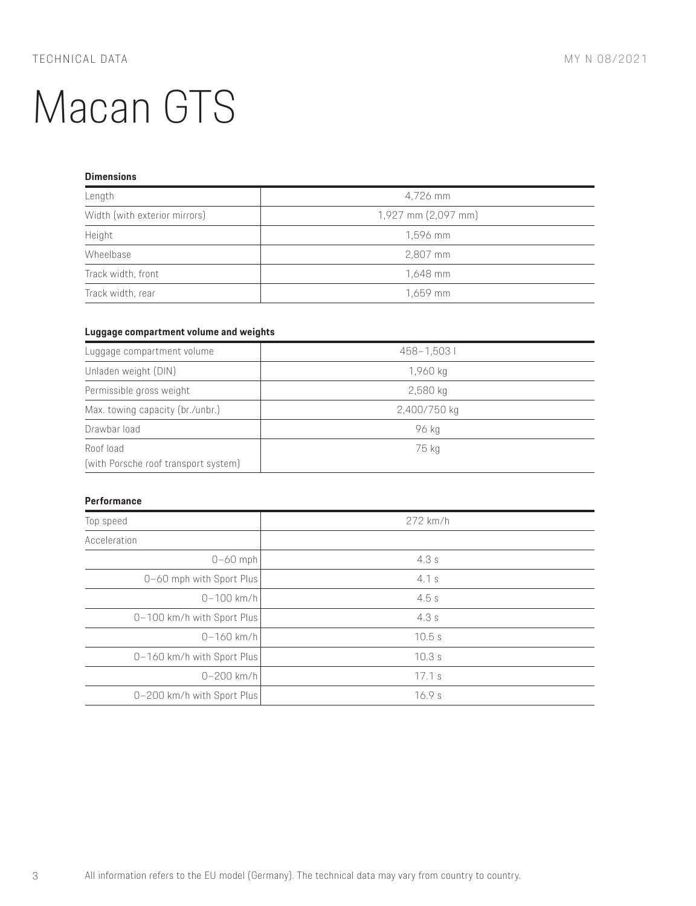### **Dimensions**

| Length                        | 4,726 mm            |
|-------------------------------|---------------------|
| Width (with exterior mirrors) | 1,927 mm (2,097 mm) |
| Height                        | 1,596 mm            |
| Wheelbase                     | 2,807 mm            |
| Track width, front            | 1,648 mm            |
| Track width, rear             | 1,659 mm            |

#### **Luggage compartment volume and weights**

| Luggage compartment volume                        | 458-1,5031   |
|---------------------------------------------------|--------------|
| Unladen weight (DIN)                              | 1,960 kg     |
| Permissible gross weight                          | $2,580$ kg   |
| Max. towing capacity (br./unbr.)                  | 2,400/750 kg |
| Drawbar load                                      | 96 kg        |
| Roof load<br>(with Porsche roof transport system) | 75 kg        |

#### **Performance**

| Top speed                  | 272 km/h |
|----------------------------|----------|
| Acceleration               |          |
| $0-60$ mph                 | 4.3s     |
| 0-60 mph with Sport Plus   | 4.1s     |
| $0 - 100$ km/h             | 4.5s     |
| 0-100 km/h with Sport Plus | 4.3s     |
| $0 - 160$ km/h             | 10.5s    |
| 0-160 km/h with Sport Plus | 10.3s    |
| $0 - 200$ km/h             | 17.1 s   |
| 0-200 km/h with Sport Plus | 16.9s    |